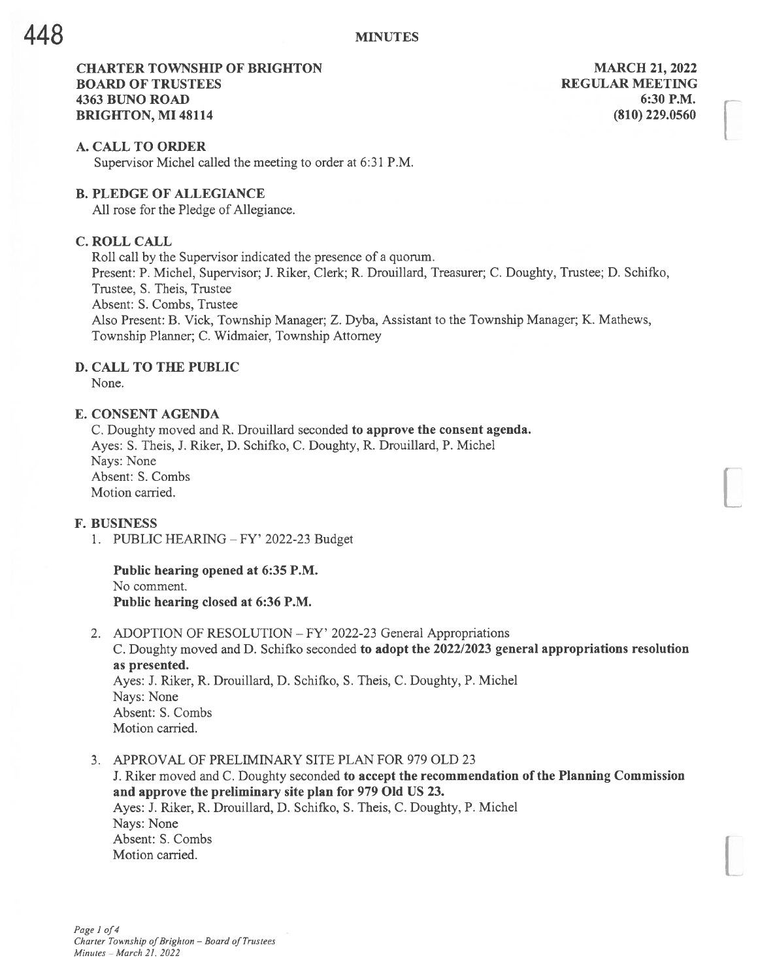# CHARTER TOWNSHIP OF BRIGHTON MARCH 21, 2022 **BOARD OF TRUSTEES REGULAR MEETING** 4363 BUNO ROAD 6:30 P.M. **BRIGHTON, MI 48114** (810) 229,0560

#### A. CALL TO ORDER

Supervisor Michel called the meeting to order at 6:31 P.M.

### B. PLEDGE OF ALLEGIANCE

All rose for the Pledge of Allegiance.

# C. ROLL CALL

Roll call by the Supervisor indicated the presence of <sup>a</sup> quorum. Present: P. Michel, Supervisor; J. Riker, Clerk; R. Drouillard, Treasurer; C. Doughty, Trustee; D. Schifko, Trustee, S. Theis, Trustee Absent: S. Combs, Trustee Also Present: B. Vick, Township Manager; Z. Dyba, Assistant to the Township Manager; K. Mathews, Township Planner; C. Widmaier, Township Attorney

# D. CALL TO THE PUBLIC

None.

### E. CONSENT AGENDA

C. Doughty moved and R. Drouillard seconded to approve the consent agenda. Ayes: S. Theis, J. Riker, D. Schifko, C. Doughty, R. Drouillard, P. Michel Nays: None Absent: S. Combs Motion carried.

### F. BUSINESS

1. PUBLIC HEARING — FY' 2022-23 Budget

#### Public hearing opened at 6:35 P.M. No comment. Public hearing closed at 6:36 P.M.

- 2. ADOPTION OF RESOLUTION FY' 2022-23 General Appropriations C. Doughty moved and D. Schifko seconded to adopt the 2022/2023 general appropriations resolution as presented. Ayes: J. Riker, R. Drouillard, D. Schifko, S. Theis, C. Doughty, P. Michel Nays: None Absent: S. Combs Motion carried.
- 3. APPROVAL OF PRELIMINARY SITE PLAN FOR 979 OLD 23

J. Riker moved and C. Doughty seconded to accept the recommendation of the Planning Commission and approve the preliminary site plan for 979 Old US 23. Ayes: J. Riker, R. Drouillard, D. Schifko, S. Theis, C. Doughty, P. Michel Nays: None Absent: S. Combs Motion carried.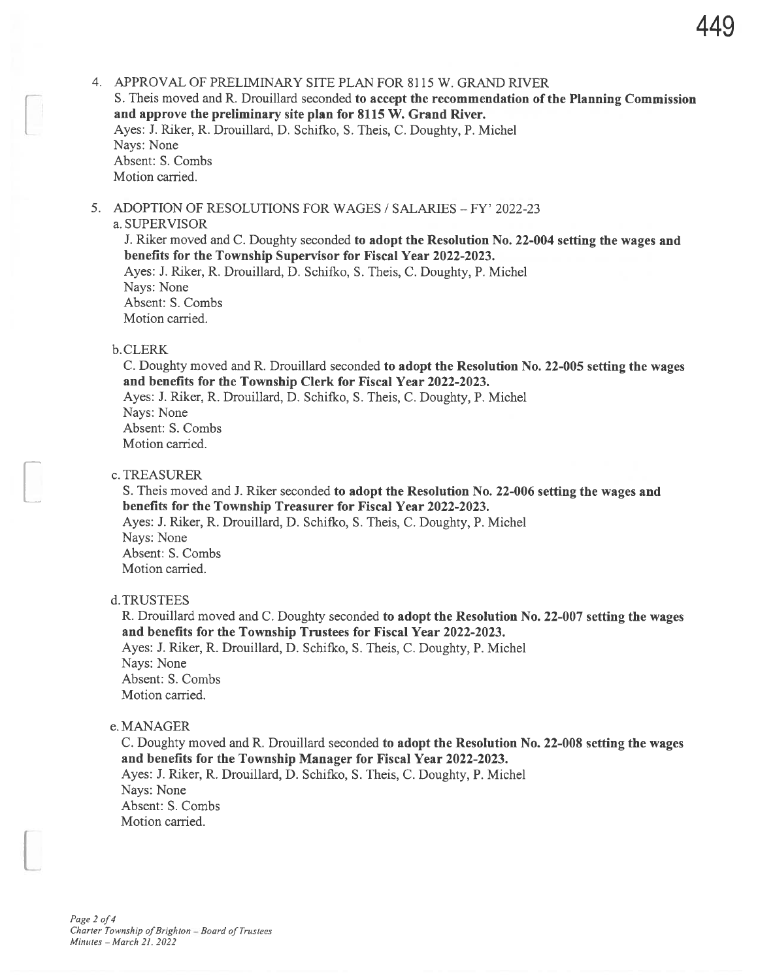4. APPROVAL OF PRELIMINARY SITE PLAN FOR 8115 W. GRAND RIVER S. Theis moved and R. Drouillard seconded to accept the recommendation of the Planning Commission and approve the preliminary site plan for 8115 W. Grand River. Ayes: J. Riker, R. Drouillard, D. Schifko, S. Theis, C. Doughty, P. Michel Nays: None Absent: S. Combs Motion carried.

5. ADOPTION OF RESOLUTIONS FOR WAGES / SALARIES - FY' 2022-23

# a. SUPERVISOR

J. Riker moved and C. Doughty seconded to adopt the Resolution No. 22-004 setting the wages and benefits for the Township Supervisor for Fiscal Year 2022-2023. Ayes: J. Riker, R. Drouillard, D. Schifko, S. Theis, C. Doughty, P. Michel

Nays: None Absent: S. Combs Motion carried.

# b. CLERK

C. Doughty moved and R. Drouillard seconded to adopt the Resolution No. 22-005 setting the wages and benefits for the Township Clerk for Fiscal Year 2022-2023. Ayes: J. Riker, R. Drouillard, D. Schifko, S. Theis, C. Doughty, P. Michel Nays: None Absent: S. Combs Motion carried.

### c. TREASURER

S. Theis moved and J. Riker seconded to adopt the Resolution No. 22-006 setting the wages and benefits for the Township Treasurer for Fiscal Year 2022-2023. Ayes: J. Riker, R. Drouillard, D. Schifko, S. Theis, C. Doughty, P. Michel Nays: None Absent: S. Combs Motion carried.

## d.TRUSTEES

R. Drouillard moved and C. Doughty seconded to adopt the Resolution No. 22-007 setting the wages and benefits for the Township Trustees for Fiscal Year 2022-2023. Ayes: J. Riker, R. Drouillard, D. Schifko, S. Theis, C. Doughty, P. Michel Nays: None Absent: S. Combs Motion carried.

# e. MANAGER

C. Doughty moved and R. Drouillard seconded to adopt the Resolution No. 22-008 setting the wages and benefits for the Township Manager for Fiscal Year 2022-2023. Ayes: J. Riker, R. Drouillard, D. Schifko, S. Theis, C. Doughty, P. Michel Nays: None Absent: S. Combs Motion carried.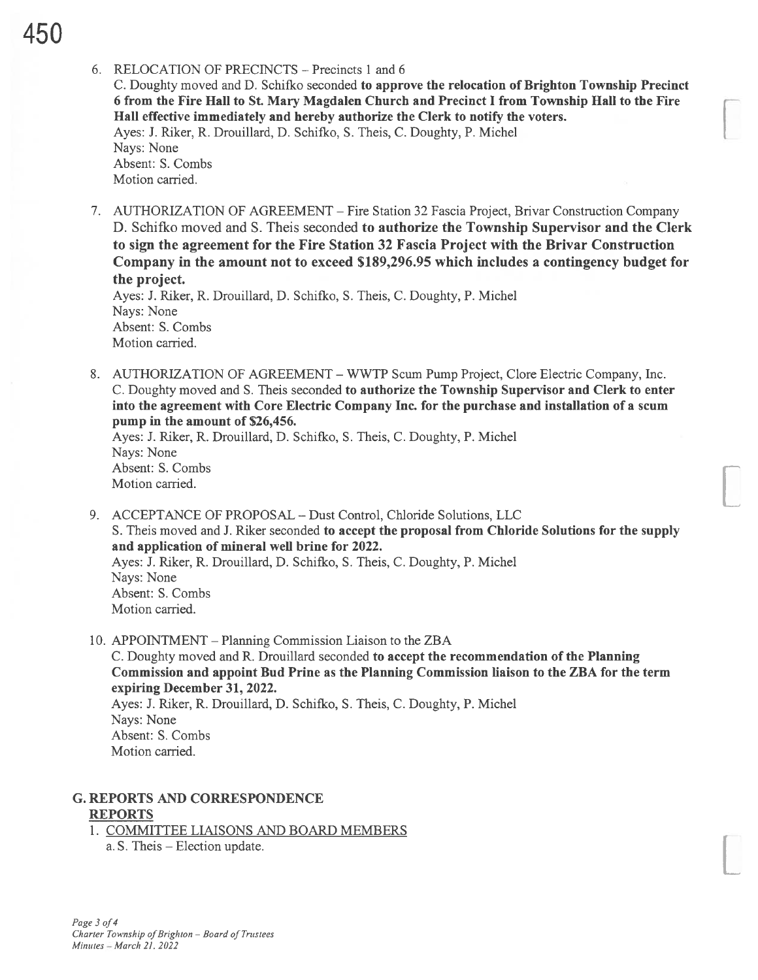6. RELOCATION OF PRECINCTS – Precincts 1 and 6

C. Doughty moved and D. Schifko seconded to approve the relocation of Brighton Township Precinct 6 from the Fire Hall to St. Mary Magdalen Church and Precinct I from Township Hall to the Fire Hall effective immediately and hereby authorize the Clerk to notify the voters. Ayes: J. Riker, R. Drouillard, D. Schifko, S. Theis, C. Doughty, P. Michel Nays: None Absent: S. Combs Motion carried.

7. AUTHORIZATION OF AGREEMENT — Fire Station 32 Fascia Project, Brivar Construction Company D. Schifko moved and S. Theis seconded to authorize the Township Supervisor and the Clerk to sign the agreement for the Fire Station 32 Fascia Project with the Brivar Construction Company in the amount not to exceed \$189,296.95 which includes <sup>a</sup> contingency budget for the project.

Ayes: J. Riker, R. Drouillard, D. Schifko, S. Theis, C. Doughty, P. Michel Nays: None Absent: S. Combs Motion carried.

8. AUTHORIZATION OF AGREEMENT -WWTP Scum Pump Project, Clore Electric Company, Inc. C. Doughty moved and S. Theis seconded to authorize the Township Supervisor and Clerk to enter into the agreement with Core Electric Company Inc. for the purchase and installation of <sup>a</sup> scum pump in the amount of \$26,456.

Ayes: J. Riker, R. Drouillard, D. Schifko, S. Theis, C. Doughty, P. Michel Nays: None Absent: S. Combs Motion carried.

- 9. ACCEPTANCE OF PROPOSAL Dust Control, Chloride Solutions, LLC S. Theis moved and J. Riker seconded to accept the proposal from Chloride Solutions for the supply and application of mineral well brine for 2022. Ayes: J. Riker, R. Drouillard, D. Schifko, S. Theis, C. Doughty, P. Michel Nays: None Absent: S. Combs Motion carried.
- 10. APPOINTMENT Planning Commission Liaison to the ZBA

C. Doughty moved and R. Drouillard seconded to accept the recommendation of the Planning Commission and appoint Bud Prine as the Planning Commission liaison to the ZBA for the term expiring December 31, 2022.

Ayes: J. Riker, R. Drouillard, D. Schifko, S. Theis, C. Doughty, P. Michel Nays: None Absent: S. Combs Motion carried.

# G. REPORTS AND CORRESPONDENCE REPORTS

1. COMMITTEE LIAISONS AND BOARD MEMBERS a. S. Theis — Election update.